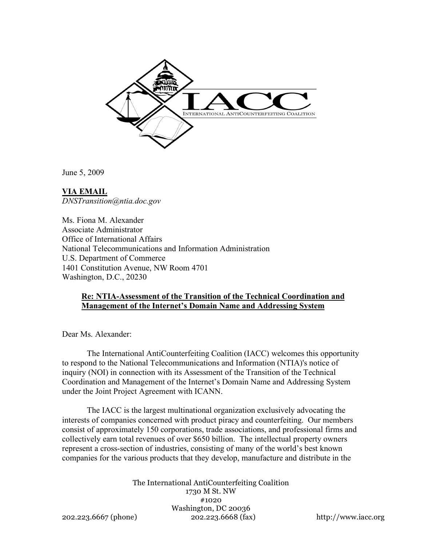

June 5, 2009

**VIA EMAIL** *DNSTransition@ntia.doc.gov*

Ms. Fiona M. Alexander Associate Administrator Office of International Affairs National Telecommunications and Information Administration U.S. Department of Commerce 1401 Constitution Avenue, NW Room 4701 Washington, D.C., 20230

### **Re: NTIA-Assessment of the Transition of the Technical Coordination and Management of the Internet's Domain Name and Addressing System**

Dear Ms. Alexander:

The International AntiCounterfeiting Coalition (IACC) welcomes this opportunity to respond to the National Telecommunications and Information (NTIA)'s notice of inquiry (NOI) in connection with its Assessment of the Transition of the Technical Coordination and Management of the Internet's Domain Name and Addressing System under the Joint Project Agreement with ICANN.

The IACC is the largest multinational organization exclusively advocating the interests of companies concerned with product piracy and counterfeiting. Our members consist of approximately 150 corporations, trade associations, and professional firms and collectively earn total revenues of over \$650 billion. The intellectual property owners represent a cross-section of industries, consisting of many of the world's best known companies for the various products that they develop, manufacture and distribute in the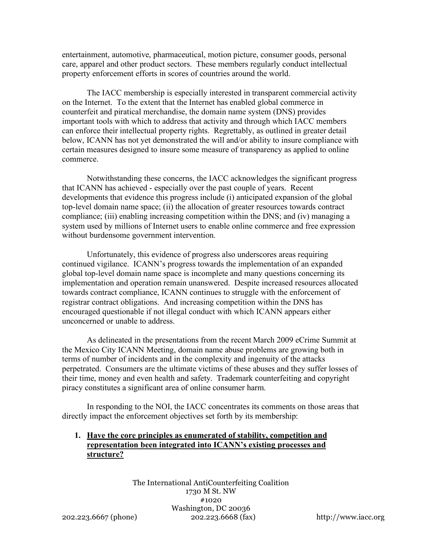entertainment, automotive, pharmaceutical, motion picture, consumer goods, personal care, apparel and other product sectors. These members regularly conduct intellectual property enforcement efforts in scores of countries around the world.

The IACC membership is especially interested in transparent commercial activity on the Internet. To the extent that the Internet has enabled global commerce in counterfeit and piratical merchandise, the domain name system (DNS) provides important tools with which to address that activity and through which IACC members can enforce their intellectual property rights. Regrettably, as outlined in greater detail below, ICANN has not yet demonstrated the will and/or ability to insure compliance with certain measures designed to insure some measure of transparency as applied to online commerce.

Notwithstanding these concerns, the IACC acknowledges the significant progress that ICANN has achieved - especially over the past couple of years. Recent developments that evidence this progress include (i) anticipated expansion of the global top-level domain name space; (ii) the allocation of greater resources towards contract compliance; (iii) enabling increasing competition within the DNS; and (iv) managing a system used by millions of Internet users to enable online commerce and free expression without burdensome government intervention.

Unfortunately, this evidence of progress also underscores areas requiring continued vigilance. ICANN's progress towards the implementation of an expanded global top-level domain name space is incomplete and many questions concerning its implementation and operation remain unanswered. Despite increased resources allocated towards contract compliance, ICANN continues to struggle with the enforcement of registrar contract obligations. And increasing competition within the DNS has encouraged questionable if not illegal conduct with which ICANN appears either unconcerned or unable to address.

As delineated in the presentations from the recent March 2009 eCrime Summit at the Mexico City ICANN Meeting, domain name abuse problems are growing both in terms of number of incidents and in the complexity and ingenuity of the attacks perpetrated. Consumers are the ultimate victims of these abuses and they suffer losses of their time, money and even health and safety. Trademark counterfeiting and copyright piracy constitutes a significant area of online consumer harm.

In responding to the NOI, the IACC concentrates its comments on those areas that directly impact the enforcement objectives set forth by its membership:

# **1. Have the core principles as enumerated of stability, competition and representation been integrated into ICANN's existing processes and structure?**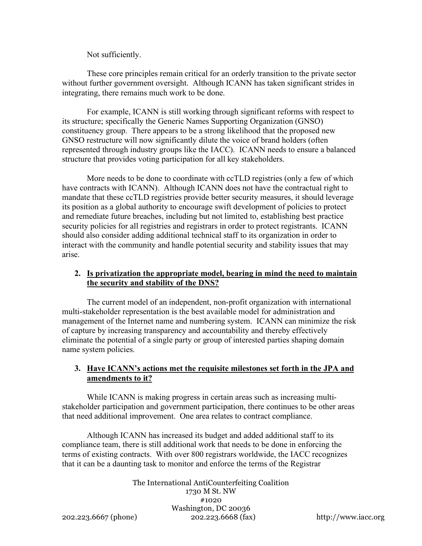Not sufficiently.

These core principles remain critical for an orderly transition to the private sector without further government oversight. Although ICANN has taken significant strides in integrating, there remains much work to be done.

For example, ICANN is still working through significant reforms with respect to its structure; specifically the Generic Names Supporting Organization (GNSO) constituency group. There appears to be a strong likelihood that the proposed new GNSO restructure will now significantly dilute the voice of brand holders (often represented through industry groups like the IACC). ICANN needs to ensure a balanced structure that provides voting participation for all key stakeholders.

More needs to be done to coordinate with ccTLD registries (only a few of which have contracts with ICANN). Although ICANN does not have the contractual right to mandate that these ccTLD registries provide better security measures, it should leverage its position as a global authority to encourage swift development of policies to protect and remediate future breaches, including but not limited to, establishing best practice security policies for all registries and registrars in order to protect registrants. ICANN should also consider adding additional technical staff to its organization in order to interact with the community and handle potential security and stability issues that may arise.

# **2. Is privatization the appropriate model, bearing in mind the need to maintain the security and stability of the DNS?**

The current model of an independent, non-profit organization with international multi-stakeholder representation is the best available model for administration and management of the Internet name and numbering system. ICANN can minimize the risk of capture by increasing transparency and accountability and thereby effectively eliminate the potential of a single party or group of interested parties shaping domain name system policies.

# **3. Have ICANN's actions met the requisite milestones set forth in the JPA and amendments to it?**

While ICANN is making progress in certain areas such as increasing multistakeholder participation and government participation, there continues to be other areas that need additional improvement. One area relates to contract compliance.

Although ICANN has increased its budget and added additional staff to its compliance team, there is still additional work that needs to be done in enforcing the terms of existing contracts. With over 800 registrars worldwide, the IACC recognizes that it can be a daunting task to monitor and enforce the terms of the Registrar